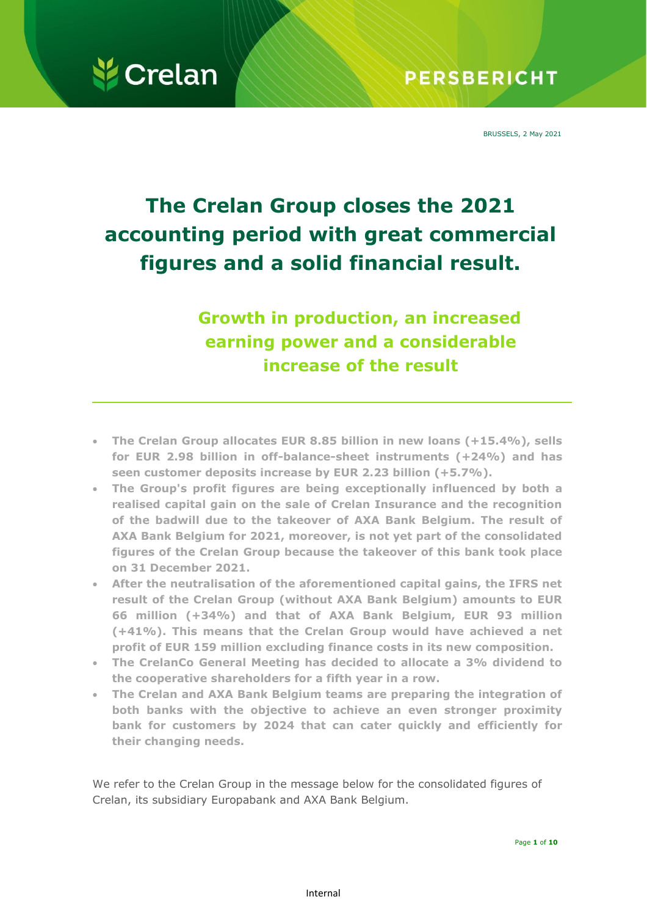

BRUSSELS, 2 May 2021

## **The Crelan Group closes the 2021 accounting period with great commercial figures and a solid financial result.**

**Growth in production, an increased earning power and a considerable increase of the result**

- **The Crelan Group allocates EUR 8.85 billion in new loans (+15.4%), sells for EUR 2.98 billion in off-balance-sheet instruments (+24%) and has seen customer deposits increase by EUR 2.23 billion (+5.7%).**
- **The Group's profit figures are being exceptionally influenced by both a realised capital gain on the sale of Crelan Insurance and the recognition of the badwill due to the takeover of AXA Bank Belgium. The result of AXA Bank Belgium for 2021, moreover, is not yet part of the consolidated figures of the Crelan Group because the takeover of this bank took place on 31 December 2021.**
- **After the neutralisation of the aforementioned capital gains, the IFRS net result of the Crelan Group (without AXA Bank Belgium) amounts to EUR 66 million (+34%) and that of AXA Bank Belgium, EUR 93 million (+41%). This means that the Crelan Group would have achieved a net profit of EUR 159 million excluding finance costs in its new composition.**
- **The CrelanCo General Meeting has decided to allocate a 3% dividend to the cooperative shareholders for a fifth year in a row.**
- **The Crelan and AXA Bank Belgium teams are preparing the integration of both banks with the objective to achieve an even stronger proximity bank for customers by 2024 that can cater quickly and efficiently for their changing needs.**

We refer to the Crelan Group in the message below for the consolidated figures of Crelan, its subsidiary Europabank and AXA Bank Belgium.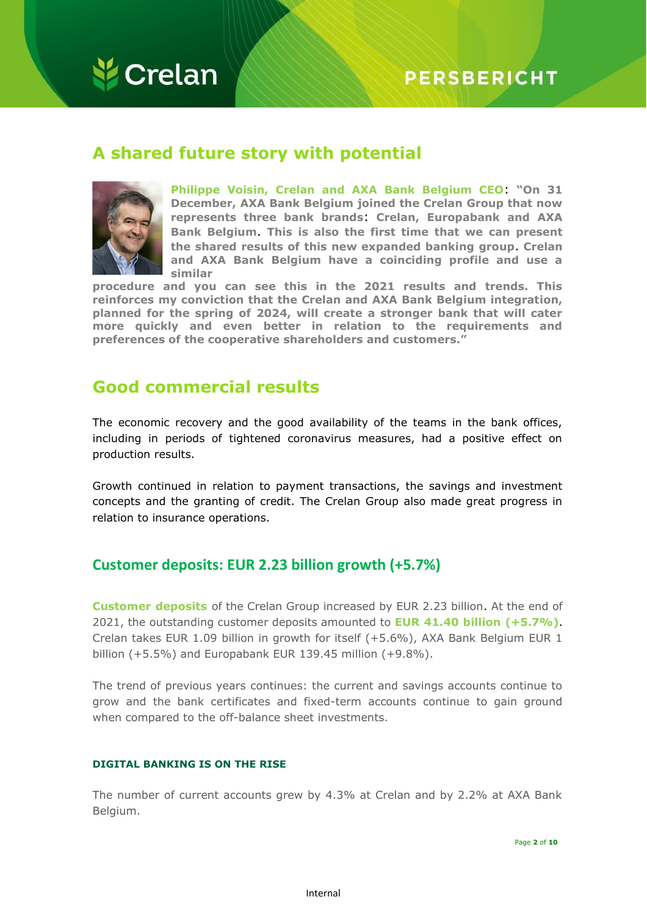

## **PERSBERICHT**

## **A shared future story with potential**



**Philippe Voisin, Crelan and AXA Bank Belgium CEO**: **"On 31 December, AXA Bank Belgium joined the Crelan Group that now represents three bank brands**: **Crelan, Europabank and AXA Bank Belgium**. **This is also the first time that we can present the shared results of this new expanded banking group**. **Crelan and AXA Bank Belgium have a coinciding profile and use a similar**

**procedure and you can see this in the 2021 results and trends. This reinforces my conviction that the Crelan and AXA Bank Belgium integration, planned for the spring of 2024, will create a stronger bank that will cater more quickly and even better in relation to the requirements and preferences of the cooperative shareholders and customers."**

## **Good commercial results**

The economic recovery and the good availability of the teams in the bank offices, including in periods of tightened coronavirus measures, had a positive effect on production results.

Growth continued in relation to payment transactions, the savings and investment concepts and the granting of credit. The Crelan Group also made great progress in relation to insurance operations.

## **Customer deposits: EUR 2.23 billion growth (+5.7%)**

**Customer deposits** of the Crelan Group increased by EUR 2.23 billion. At the end of 2021, the outstanding customer deposits amounted to **EUR 41.40 billion (+5.7%)**. Crelan takes EUR 1.09 billion in growth for itself (+5.6%), AXA Bank Belgium EUR 1 billion (+5.5%) and Europabank EUR 139.45 million (+9.8%).

The trend of previous years continues: the current and savings accounts continue to grow and the bank certificates and fixed-term accounts continue to gain ground when compared to the off-balance sheet investments.

#### **DIGITAL BANKING IS ON THE RISE**

The number of current accounts grew by 4.3% at Crelan and by 2.2% at AXA Bank Belgium.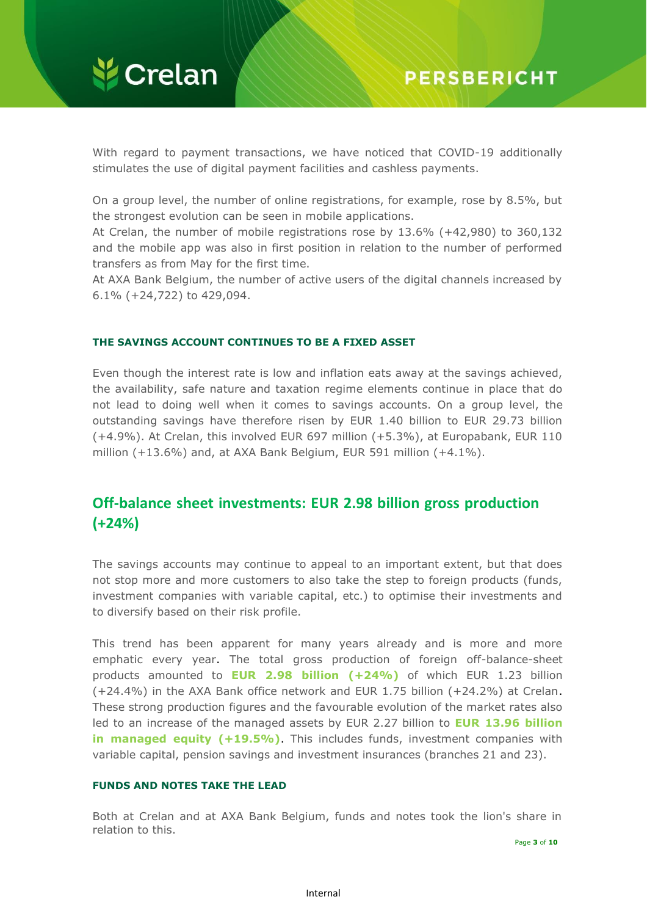

With regard to payment transactions, we have noticed that COVID-19 additionally stimulates the use of digital payment facilities and cashless payments.

On a group level, the number of online registrations, for example, rose by 8.5%, but the strongest evolution can be seen in mobile applications.

At Crelan, the number of mobile registrations rose by 13.6% (+42,980) to 360,132 and the mobile app was also in first position in relation to the number of performed transfers as from May for the first time.

At AXA Bank Belgium, the number of active users of the digital channels increased by 6.1% (+24,722) to 429,094.

#### **THE SAVINGS ACCOUNT CONTINUES TO BE A FIXED ASSET**

Even though the interest rate is low and inflation eats away at the savings achieved, the availability, safe nature and taxation regime elements continue in place that do not lead to doing well when it comes to savings accounts. On a group level, the outstanding savings have therefore risen by EUR 1.40 billion to EUR 29.73 billion (+4.9%). At Crelan, this involved EUR 697 million (+5.3%), at Europabank, EUR 110 million (+13.6%) and, at AXA Bank Belgium, EUR 591 million (+4.1%).

## **Off-balance sheet investments: EUR 2.98 billion gross production (+24%)**

The savings accounts may continue to appeal to an important extent, but that does not stop more and more customers to also take the step to foreign products (funds, investment companies with variable capital, etc.) to optimise their investments and to diversify based on their risk profile.

This trend has been apparent for many years already and is more and more emphatic every year. The total gross production of foreign off-balance-sheet products amounted to **EUR 2.98 billion (+24%)** of which EUR 1.23 billion (+24.4%) in the AXA Bank office network and EUR 1.75 billion (+24.2%) at Crelan. These strong production figures and the favourable evolution of the market rates also led to an increase of the managed assets by EUR 2.27 billion to **EUR 13.96 billion in managed equity (+19.5%)**. This includes funds, investment companies with variable capital, pension savings and investment insurances (branches 21 and 23).

#### **FUNDS AND NOTES TAKE THE LEAD**

Both at Crelan and at AXA Bank Belgium, funds and notes took the lion's share in relation to this.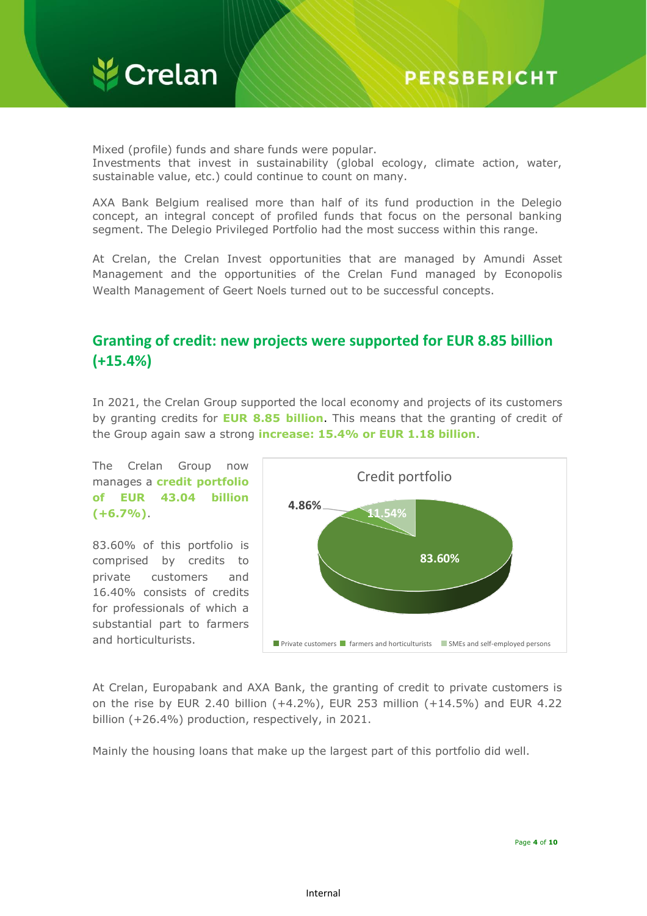

Mixed (profile) funds and share funds were popular. Investments that invest in sustainability (global ecology, climate action, water, sustainable value, etc.) could continue to count on many.

AXA Bank Belgium realised more than half of its fund production in the Delegio concept, an integral concept of profiled funds that focus on the personal banking segment. The Delegio Privileged Portfolio had the most success within this range.

At Crelan, the Crelan Invest opportunities that are managed by Amundi Asset Management and the opportunities of the Crelan Fund managed by Econopolis Wealth Management of Geert Noels turned out to be successful concepts.

## **Granting of credit: new projects were supported for EUR 8.85 billion (+15.4%)**

In 2021, the Crelan Group supported the local economy and projects of its customers by granting credits for **EUR 8.85 billion**. This means that the granting of credit of the Group again saw a strong **increase: 15.4% or EUR 1.18 billion**.



83.60% of this portfolio is comprised by credits to private customers and 16.40% consists of credits for professionals of which a substantial part to farmers and horticulturists.



At Crelan, Europabank and AXA Bank, the granting of credit to private customers is on the rise by EUR 2.40 billion (+4.2%), EUR 253 million (+14.5%) and EUR 4.22 billion (+26.4%) production, respectively, in 2021.

Mainly the housing loans that make up the largest part of this portfolio did well.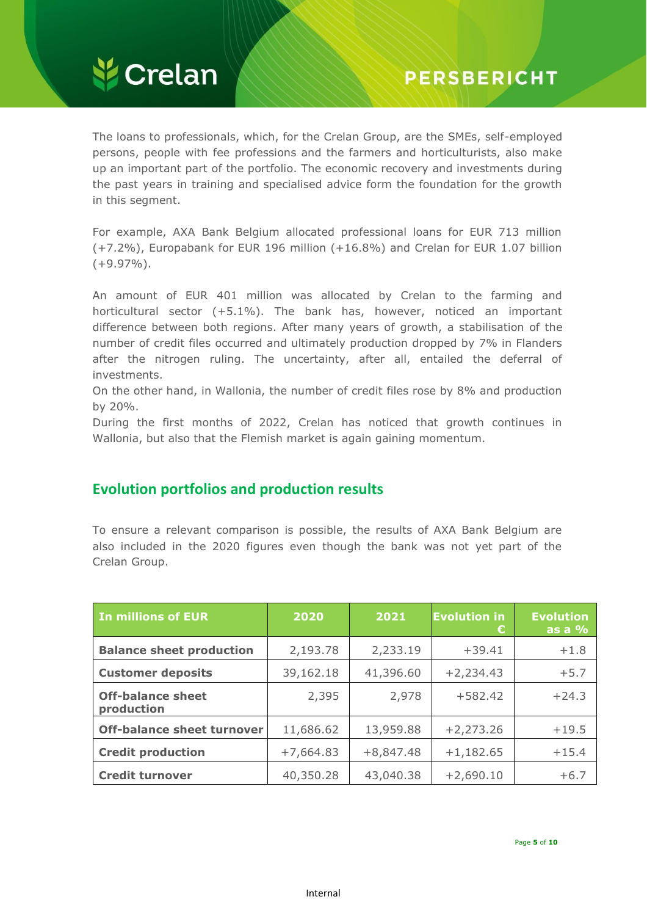

The loans to professionals, which, for the Crelan Group, are the SMEs, self-employed persons, people with fee professions and the farmers and horticulturists, also make up an important part of the portfolio. The economic recovery and investments during the past years in training and specialised advice form the foundation for the growth in this segment.

For example, AXA Bank Belgium allocated professional loans for EUR 713 million (+7.2%), Europabank for EUR 196 million (+16.8%) and Crelan for EUR 1.07 billion  $(+9.97\%)$ .

An amount of EUR 401 million was allocated by Crelan to the farming and horticultural sector (+5.1%). The bank has, however, noticed an important difference between both regions. After many years of growth, a stabilisation of the number of credit files occurred and ultimately production dropped by 7% in Flanders after the nitrogen ruling. The uncertainty, after all, entailed the deferral of investments.

On the other hand, in Wallonia, the number of credit files rose by 8% and production by 20%.

During the first months of 2022, Crelan has noticed that growth continues in Wallonia, but also that the Flemish market is again gaining momentum.

### **Evolution portfolios and production results**

To ensure a relevant comparison is possible, the results of AXA Bank Belgium are also included in the 2020 figures even though the bank was not yet part of the Crelan Group.

| <b>In millions of EUR</b>              | 2020        | 2021        | <b>Evolution in</b><br>€ | <b>Evolution</b><br>as a $%$ |
|----------------------------------------|-------------|-------------|--------------------------|------------------------------|
| <b>Balance sheet production</b>        | 2,193.78    | 2,233.19    | $+39.41$                 | $+1.8$                       |
| <b>Customer deposits</b>               | 39,162.18   | 41,396.60   | $+2,234.43$              | $+5.7$                       |
| <b>Off-balance sheet</b><br>production | 2,395       | 2,978       | $+582.42$                | $+24.3$                      |
| <b>Off-balance sheet turnover</b>      | 11,686.62   | 13,959.88   | $+2,273.26$              | $+19.5$                      |
| <b>Credit production</b>               | $+7,664.83$ | $+8,847.48$ | $+1,182.65$              | $+15.4$                      |
| <b>Credit turnover</b>                 | 40,350.28   | 43,040.38   | $+2,690.10$              | $+6.7$                       |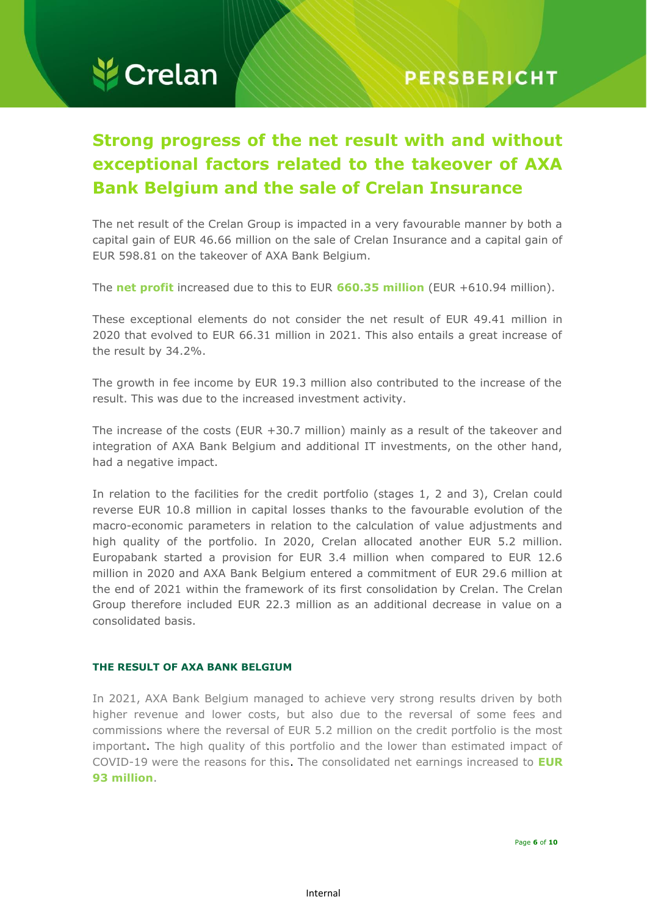

## **Strong progress of the net result with and without exceptional factors related to the takeover of AXA Bank Belgium and the sale of Crelan Insurance**

The net result of the Crelan Group is impacted in a very favourable manner by both a capital gain of EUR 46.66 million on the sale of Crelan Insurance and a capital gain of EUR 598.81 on the takeover of AXA Bank Belgium.

The **net profit** increased due to this to EUR **660.35 million** (EUR +610.94 million).

These exceptional elements do not consider the net result of EUR 49.41 million in 2020 that evolved to EUR 66.31 million in 2021. This also entails a great increase of the result by 34.2%.

The growth in fee income by EUR 19.3 million also contributed to the increase of the result. This was due to the increased investment activity.

The increase of the costs (EUR +30.7 million) mainly as a result of the takeover and integration of AXA Bank Belgium and additional IT investments, on the other hand, had a negative impact.

In relation to the facilities for the credit portfolio (stages 1, 2 and 3), Crelan could reverse EUR 10.8 million in capital losses thanks to the favourable evolution of the macro-economic parameters in relation to the calculation of value adjustments and high quality of the portfolio. In 2020, Crelan allocated another EUR 5.2 million. Europabank started a provision for EUR 3.4 million when compared to EUR 12.6 million in 2020 and AXA Bank Belgium entered a commitment of EUR 29.6 million at the end of 2021 within the framework of its first consolidation by Crelan. The Crelan Group therefore included EUR 22.3 million as an additional decrease in value on a consolidated basis.

#### **THE RESULT OF AXA BANK BELGIUM**

In 2021, AXA Bank Belgium managed to achieve very strong results driven by both higher revenue and lower costs, but also due to the reversal of some fees and commissions where the reversal of EUR 5.2 million on the credit portfolio is the most important. The high quality of this portfolio and the lower than estimated impact of COVID-19 were the reasons for this. The consolidated net earnings increased to **EUR 93 million**.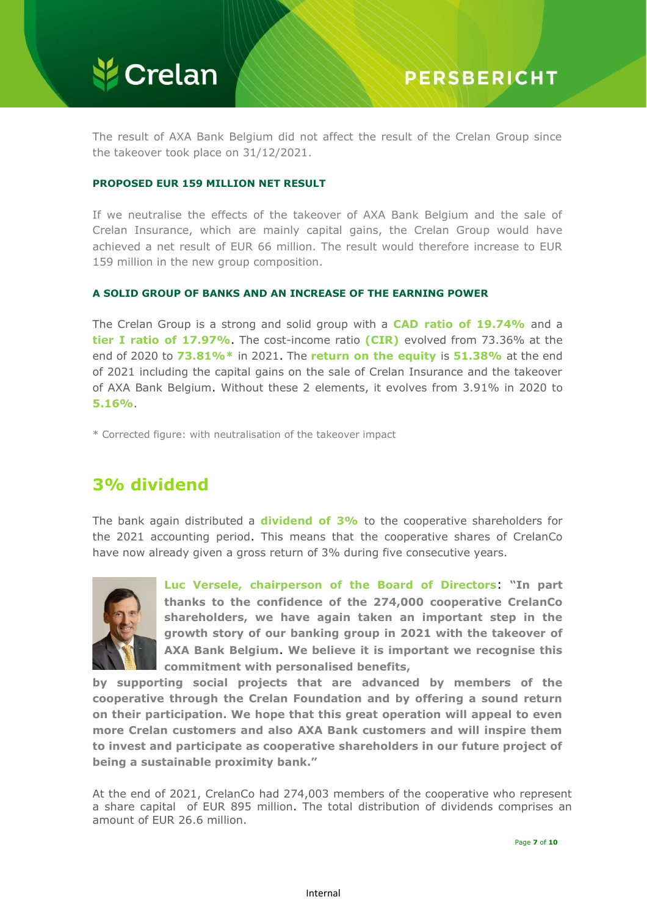

The result of AXA Bank Belgium did not affect the result of the Crelan Group since the takeover took place on 31/12/2021.

#### **PROPOSED EUR 159 MILLION NET RESULT**

If we neutralise the effects of the takeover of AXA Bank Belgium and the sale of Crelan Insurance, which are mainly capital gains, the Crelan Group would have achieved a net result of EUR 66 million. The result would therefore increase to EUR 159 million in the new group composition.

#### **A SOLID GROUP OF BANKS AND AN INCREASE OF THE EARNING POWER**

The Crelan Group is a strong and solid group with a **CAD ratio of 19.74%** and a **tier I ratio of 17.97%**. The cost-income ratio **(CIR)** evolved from 73.36% at the end of 2020 to **73.81%\*** in 2021. The **return on the equity** is **51.38%** at the end of 2021 including the capital gains on the sale of Crelan Insurance and the takeover of AXA Bank Belgium. Without these 2 elements, it evolves from 3.91% in 2020 to **5.16%**.

\* Corrected figure: with neutralisation of the takeover impact

## **3% dividend**

The bank again distributed a **dividend of 3%** to the cooperative shareholders for the 2021 accounting period. This means that the cooperative shares of CrelanCo have now already given a gross return of 3% during five consecutive years.



**Luc Versele, chairperson of the Board of Directors**: **"In part thanks to the confidence of the 274,000 cooperative CrelanCo shareholders, we have again taken an important step in the growth story of our banking group in 2021 with the takeover of AXA Bank Belgium**. **We believe it is important we recognise this commitment with personalised benefits,**

**by supporting social projects that are advanced by members of the cooperative through the Crelan Foundation and by offering a sound return on their participation. We hope that this great operation will appeal to even more Crelan customers and also AXA Bank customers and will inspire them to invest and participate as cooperative shareholders in our future project of being a sustainable proximity bank."**

At the end of 2021, CrelanCo had 274,003 members of the cooperative who represent a share capital of EUR 895 million. The total distribution of dividends comprises an amount of EUR 26.6 million.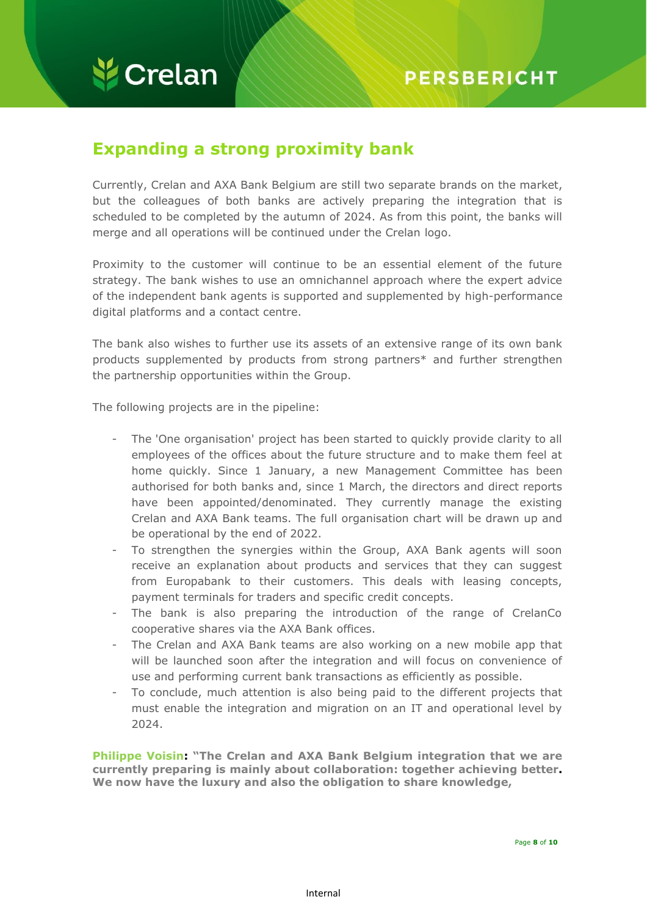## **Expanding a strong proximity bank**

Currently, Crelan and AXA Bank Belgium are still two separate brands on the market, but the colleagues of both banks are actively preparing the integration that is scheduled to be completed by the autumn of 2024. As from this point, the banks will merge and all operations will be continued under the Crelan logo.

Proximity to the customer will continue to be an essential element of the future strategy. The bank wishes to use an omnichannel approach where the expert advice of the independent bank agents is supported and supplemented by high-performance digital platforms and a contact centre.

The bank also wishes to further use its assets of an extensive range of its own bank products supplemented by products from strong partners\* and further strengthen the partnership opportunities within the Group.

The following projects are in the pipeline:

- The 'One organisation' project has been started to quickly provide clarity to all employees of the offices about the future structure and to make them feel at home quickly. Since 1 January, a new Management Committee has been authorised for both banks and, since 1 March, the directors and direct reports have been appointed/denominated. They currently manage the existing Crelan and AXA Bank teams. The full organisation chart will be drawn up and be operational by the end of 2022.
- To strengthen the synergies within the Group, AXA Bank agents will soon receive an explanation about products and services that they can suggest from Europabank to their customers. This deals with leasing concepts, payment terminals for traders and specific credit concepts.
- The bank is also preparing the introduction of the range of CrelanCo cooperative shares via the AXA Bank offices.
- The Crelan and AXA Bank teams are also working on a new mobile app that will be launched soon after the integration and will focus on convenience of use and performing current bank transactions as efficiently as possible.
- To conclude, much attention is also being paid to the different projects that must enable the integration and migration on an IT and operational level by 2024.

**Philippe Voisin: "The Crelan and AXA Bank Belgium integration that we are currently preparing is mainly about collaboration: together achieving better. We now have the luxury and also the obligation to share knowledge,**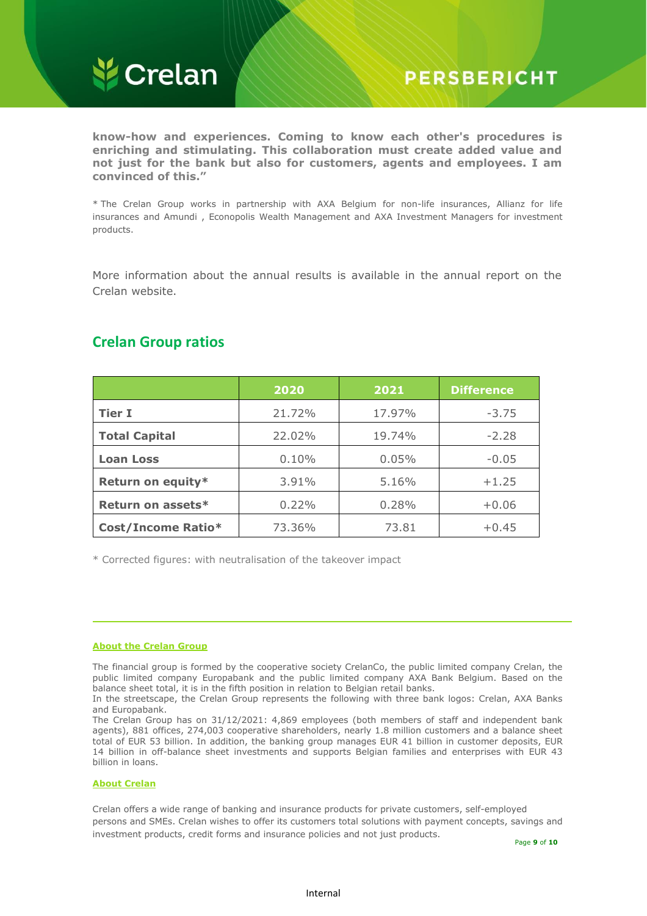

**know-how and experiences. Coming to know each other's procedures is enriching and stimulating. This collaboration must create added value and not just for the bank but also for customers, agents and employees. I am convinced of this."**

\* The Crelan Group works in partnership with AXA Belgium for non-life insurances, Allianz for life insurances and Amundi , Econopolis Wealth Management and AXA Investment Managers for investment products.

More information about the annual results is available in the annual report on the Crelan website.

|                      | 2020   | 2021   | <b>Difference</b> |
|----------------------|--------|--------|-------------------|
| <b>Tier I</b>        | 21.72% | 17.97% | $-3.75$           |
| <b>Total Capital</b> | 22.02% | 19.74% | $-2.28$           |
| <b>Loan Loss</b>     | 0.10%  | 0.05%  | $-0.05$           |
| Return on equity*    | 3.91%  | 5.16%  | $+1.25$           |
| Return on assets*    | 0.22%  | 0.28%  | $+0.06$           |
| Cost/Income Ratio*   | 73.36% | 73.81  | $+0.45$           |

## **Crelan Group ratios**

\* Corrected figures: with neutralisation of the takeover impact

#### **About the Crelan Group**

The financial group is formed by the cooperative society CrelanCo, the public limited company Crelan, the public limited company Europabank and the public limited company AXA Bank Belgium. Based on the balance sheet total, it is in the fifth position in relation to Belgian retail banks.

In the streetscape, the Crelan Group represents the following with three bank logos: Crelan, AXA Banks and Europabank.

The Crelan Group has on 31/12/2021: 4,869 employees (both members of staff and independent bank agents), 881 offices, 274,003 cooperative shareholders, nearly 1.8 million customers and a balance sheet total of EUR 53 billion. In addition, the banking group manages EUR 41 billion in customer deposits, EUR 14 billion in off-balance sheet investments and supports Belgian families and enterprises with EUR 43 billion in loans.

#### **About Crelan**

Crelan offers a wide range of banking and insurance products for private customers, self-employed persons and SMEs. Crelan wishes to offer its customers total solutions with payment concepts, savings and investment products, credit forms and insurance policies and not just products.